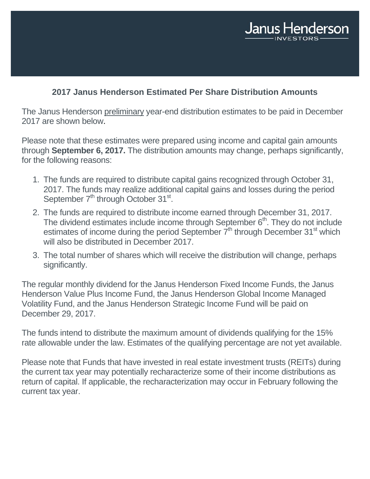

# **2017 Janus Henderson Estimated Per Share Distribution Amounts**

The Janus Henderson preliminary year-end distribution estimates to be paid in December 2017 are shown below.

Please note that these estimates were prepared using income and capital gain amounts through **September 6, 2017.** The distribution amounts may change, perhaps significantly, for the following reasons:

- 1. The funds are required to distribute capital gains recognized through October 31, 2017. The funds may realize additional capital gains and losses during the period September  $7<sup>th</sup>$  through October 31<sup>st</sup>.
- 2. The funds are required to distribute income earned through December 31, 2017. The dividend estimates include income through September  $6<sup>th</sup>$ . They do not include estimates of income during the period September  $7<sup>th</sup>$  through December 31<sup>st</sup> which will also be distributed in December 2017.
- 3. The total number of shares which will receive the distribution will change, perhaps significantly.

The regular monthly dividend for the Janus Henderson Fixed Income Funds, the Janus Henderson Value Plus Income Fund, the Janus Henderson Global Income Managed Volatility Fund, and the Janus Henderson Strategic Income Fund will be paid on December 29, 2017.

The funds intend to distribute the maximum amount of dividends qualifying for the 15% rate allowable under the law. Estimates of the qualifying percentage are not yet available.

Please note that Funds that have invested in real estate investment trusts (REITs) during the current tax year may potentially recharacterize some of their income distributions as return of capital. If applicable, the recharacterization may occur in February following the current tax year.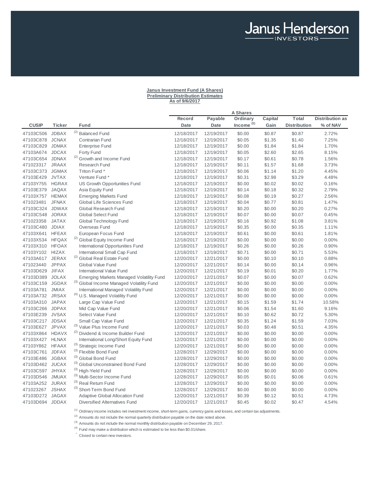### **Janus Investment Fund (A Shares) Preliminary Distribution Estimates As of 9/6/2017**

Janus Henderson

|                 |               |                                                 |            |            | <b>A Shares</b>       |         |                     |                        |
|-----------------|---------------|-------------------------------------------------|------------|------------|-----------------------|---------|---------------------|------------------------|
|                 |               |                                                 | Record     | Payable    | Ordinary              | Capital | Total               | <b>Distribution as</b> |
| <b>CUSIP</b>    | <b>Ticker</b> | Fund                                            | Date       | Date       | Income <sup>(1)</sup> | Gain    | <b>Distribution</b> | % of NAV               |
| 47103C506       | <b>JDBAX</b>  | <sup>(2)</sup> Balanced Fund                    | 12/18/2017 | 12/19/2017 | \$0.00                | \$0.87  | \$0.87              | 2.72%                  |
| 47103C878       | <b>JCNAX</b>  | <b>Contrarian Fund</b>                          | 12/18/2017 | 12/19/2017 | \$0.05                | \$1.35  | \$1.40              | 7.25%                  |
| 47103C829       | <b>JDMAX</b>  | <b>Enterprise Fund</b>                          | 12/18/2017 | 12/19/2017 | \$0.00                | \$1.84  | \$1.84              | 1.70%                  |
| 47103A674       | <b>JDCAX</b>  | Forty Fund                                      | 12/18/2017 | 12/19/2017 | \$0.05                | \$2.60  | \$2.65              | 8.15%                  |
| 47103C654       | <b>JDNAX</b>  | <sup>(2)</sup> Growth and Income Fund           | 12/18/2017 | 12/19/2017 | \$0.17                | \$0.61  | \$0.78              | 1.56%                  |
| 471023317       | <b>JRAAX</b>  | <b>Research Fund</b>                            | 12/18/2017 | 12/19/2017 | \$0.11                | \$1.57  | \$1.68              | 3.73%                  |
| 47103C373       | <b>JGMAX</b>  | Triton Fund *                                   | 12/18/2017 | 12/19/2017 | \$0.06                | \$1.14  | \$1.20              | 4.45%                  |
| 47103E429       | <b>JVTAX</b>  | Venture Fund*                                   | 12/18/2017 | 12/19/2017 | \$0.31                | \$2.98  | \$3.29              | 4.48%                  |
| 47103Y755       | <b>HGRAX</b>  | US Growth Opportunities Fund                    | 12/18/2017 | 12/19/2017 | \$0.00                | \$0.02  | \$0.02              | 0.16%                  |
| 47103E379       | <b>JAQAX</b>  | Asia Equity Fund                                | 12/18/2017 | 12/19/2017 | \$0.14                | \$0.18  | \$0.32              | 2.79%                  |
| 47103X757 HEMAX |               | <b>Emerging Markets Fund</b>                    | 12/18/2017 | 12/19/2017 | \$0.08                | \$0.19  | \$0.27              | 2.56%                  |
| 471023481       | <b>JFNAX</b>  | Global Life Sciences Fund                       | 12/18/2017 | 12/19/2017 | \$0.04                | \$0.77  | \$0.81              | 1.47%                  |
| 47103C324       | <b>JDWAX</b>  | Global Research Fund                            | 12/18/2017 | 12/19/2017 | \$0.20                | \$0.00  | \$0.20              | 0.27%                  |
| 47103C548       | <b>JORAX</b>  | <b>Global Select Fund</b>                       | 12/18/2017 | 12/19/2017 | \$0.07                | \$0.00  | \$0.07              | 0.45%                  |
| 471023358       | <b>JATAX</b>  | Global Technology Fund                          | 12/18/2017 | 12/19/2017 | \$0.16                | \$0.92  | \$1.08              | 3.81%                  |
| 47103C480       | <b>JDIAX</b>  | Overseas Fund                                   | 12/18/2017 | 12/19/2017 | \$0.35                | \$0.00  | \$0.35              | 1.11%                  |
| 47103X641       | <b>HFEAX</b>  | European Focus Fund                             | 12/18/2017 | 12/19/2017 | \$0.61                | \$0.00  | \$0.61              | 1.81%                  |
| 47103X534       | <b>HFQAX</b>  | <sup>(2)</sup> Global Equity Income Fund        | 12/18/2017 | 12/19/2017 | \$0.00                | \$0.00  | \$0.00              | 0.00%                  |
| 47103X310       | <b>HFOAX</b>  | International Opportunities Fund                | 12/18/2017 | 12/19/2017 | \$0.26                | \$0.00  | \$0.26              | 0.90%                  |
| 47103Y102 HIZAX |               | <b>International Small Cap Fund</b>             | 12/18/2017 | 12/19/2017 | \$0.71                | \$0.00  | \$0.71              | 5.53%                  |
| 47103A617       | <b>JERAX</b>  | <sup>(2)</sup> Global Real Estate Fund          | 12/20/2017 | 12/21/2017 | \$0.00                | \$0.10  | \$0.10              | 0.88%                  |
| 471023440       | <b>JPPAX</b>  | Global Value Fund                               | 12/20/2017 | 12/21/2017 | \$0.14                | \$0.00  | \$0.14              | 0.96%                  |
| 47103D629       | <b>JIFAX</b>  | <b>International Value Fund</b>                 | 12/20/2017 | 12/21/2017 | \$0.19                | \$0.01  | \$0.20              | 1.77%                  |
| 47103D389       | <b>JOLAX</b>  | <b>Emerging Markets Managed Volatility Fund</b> | 12/20/2017 | 12/21/2017 | \$0.07                | \$0.00  | \$0.07              | 0.62%                  |
| 47103C159       | <b>JGDAX</b>  | (3) Global Income Managed Volatility Fund       | 12/20/2017 | 12/21/2017 | \$0.00                | \$0.00  | \$0.00              | 0.00%                  |
| 47103A781       | <b>JMIAX</b>  | International Managed Volatility Fund           | 12/20/2017 | 12/21/2017 | \$0.00                | \$0.00  | \$0.00              | 0.00%                  |
| 47103A732       | <b>JRSAX</b>  | <sup>(4)</sup> U.S. Managed Volatility Fund     | 12/20/2017 | 12/21/2017 | \$0.00                | \$0.00  | \$0.00              | 0.00%                  |
| 47103A310       | <b>JAPAX</b>  | Large Cap Value Fund                            | 12/20/2017 | 12/21/2017 | \$0.15                | \$1.59  | \$1.74              | 10.58%                 |
| 47103C266 JDPAX |               | Mid Cap Value Fund                              | 12/20/2017 | 12/21/2017 | \$0.06                | \$1.54  | \$1.60              | 9.16%                  |
| 47103E239       | <b>JVSAX</b>  | Select Value Fund                               | 12/20/2017 | 12/21/2017 | \$0.10                | \$0.62  | \$0.72              | 5.30%                  |
| 47103C217 JDSAX |               | Small Cap Value Fund                            | 12/20/2017 | 12/21/2017 | \$0.35                | \$1.24  | \$1.59              | 7.03%                  |
| 47103E627       | <b>JPVAX</b>  | (3) Value Plus Income Fund                      | 12/20/2017 | 12/21/2017 | \$0.03                | \$0.48  | \$0.51              | 4.35%                  |
| 47103X864 HDAVX |               | <sup>(2)</sup> Dividend & Income Builder Fund   | 12/20/2017 | 12/21/2017 | \$0.00                | \$0.00  | \$0.00              | 0.00%                  |
| 47103X427 HLNAX |               | International Long/Short Equity Fund            | 12/20/2017 | 12/21/2017 | \$0.00                | \$0.00  | \$0.00              | 0.00%                  |
| 47103Y862       | <b>HFAAX</b>  | (3) Strategic Income Fund                       | 12/20/2017 | 12/21/2017 | \$0.00                | \$0.00  | \$0.00              | 0.00%                  |
| 47103C761       | <b>JDFAX</b>  | (3) Flexible Bond Fund                          | 12/28/2017 | 12/29/2017 | \$0.00                | \$0.00  | \$0.00              | 0.00%                  |
| 47103E486       | <b>JGBAX</b>  | (3) Global Bond Fund                            | 12/28/2017 | 12/29/2017 | \$0.00                | \$0.00  | \$0.00              | 0.00%                  |
| 47103D462 JUCAX |               | (3) Global Unconstrained Bond Fund              | 12/28/2017 | 12/29/2017 | \$0.00                | \$0.00  | \$0.00              | 0.00%                  |
| 47103C597       | <b>JHYAX</b>  | (3) High-Yield Fund                             | 12/28/2017 | 12/29/2017 | \$0.00                | \$0.00  | \$0.00              | 0.00%                  |
| 47103D546       | <b>JMUAX</b>  | (3) Multi-Sector Income Fund                    | 12/28/2017 | 12/29/2017 | \$0.05                | \$0.01  | \$0.06              | 0.61%                  |
| 47103A252 JURAX |               | (3) Real Return Fund                            | 12/28/2017 | 12/29/2017 | \$0.00                | \$0.00  | \$0.00              | 0.00%                  |
| 471023267       | <b>JSHAX</b>  | (3) Short-Term Bond Fund                        | 12/28/2017 | 12/29/2017 | \$0.00                | \$0.00  | \$0.00              | 0.00%                  |
| 47103D272 JAGAX |               | <b>Adaptive Global Allocation Fund</b>          | 12/20/2017 | 12/21/2017 | \$0.39                | \$0.12  | \$0.51              | 4.73%                  |
| 47103D694 JDDAX |               | <b>Diversified Alternatives Fund</b>            | 12/20/2017 | 12/21/2017 | \$0.45                | \$0.02  | \$0.47              | 4.54%                  |

 $(1)$  Ordinary income includes net investment income, short-term gains, currency gains and losses, and certain tax adjustments.

 $<sup>(2)</sup>$  Amounts do not include the normal quarterly distribution payable on the date noted above.</sup>

 $(3)$  Amounts do not include the normal monthly distribution payable on December 29, 2017.

 $(4)$  Fund may make a distribution which is estimated to be less than \$0.01/share.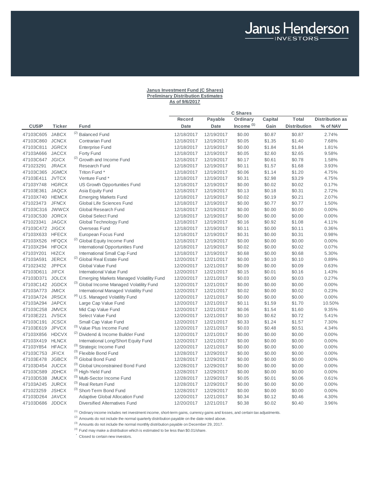# **Janus Investment Fund (C Shares) Preliminary Distribution Estimates As of 9/6/2017**

Janus Henderson

|                 |               |                                                 |            |             | <b>C</b> Shares       |         |                     |                        |
|-----------------|---------------|-------------------------------------------------|------------|-------------|-----------------------|---------|---------------------|------------------------|
|                 |               |                                                 | Record     | Payable     | Ordinary              | Capital | Total               | <b>Distribution as</b> |
| <b>CUSIP</b>    | <b>Ticker</b> | Fund                                            | Date       | <b>Date</b> | Income <sup>(1)</sup> | Gain    | <b>Distribution</b> | % of NAV               |
| 47103C605       | <b>JABCX</b>  | <sup>(2)</sup> Balanced Fund                    | 12/18/2017 | 12/19/2017  | \$0.00                | \$0.87  | \$0.87              | 2.74%                  |
| 47103C860       | <b>JCNCX</b>  | <b>Contrarian Fund</b>                          | 12/18/2017 | 12/19/2017  | \$0.05                | \$1.35  | \$1.40              | 7.68%                  |
| 47103C811       | <b>JGRCX</b>  | <b>Enterprise Fund</b>                          | 12/18/2017 | 12/19/2017  | \$0.00                | \$1.84  | \$1.84              | 1.81%                  |
| 47103A666       | <b>JACCX</b>  | Forty Fund                                      | 12/18/2017 | 12/19/2017  | \$0.05                | \$2.60  | \$2.65              | 9.58%                  |
| 47103C647       | <b>JGICX</b>  | <sup>(2)</sup> Growth and Income Fund           | 12/18/2017 | 12/19/2017  | \$0.17                | \$0.61  | \$0.78              | 1.58%                  |
| 471023291       | <b>JRACX</b>  | <b>Research Fund</b>                            | 12/18/2017 | 12/19/2017  | \$0.11                | \$1.57  | \$1.68              | 3.93%                  |
| 47103C365       | <b>JGMCX</b>  | Triton Fund *                                   | 12/18/2017 | 12/19/2017  | \$0.06                | \$1.14  | \$1.20              | 4.75%                  |
| 47103E411       | <b>JVTCX</b>  | Venture Fund *                                  | 12/18/2017 | 12/19/2017  | \$0.31                | \$2.98  | \$3.29              | 4.75%                  |
| 47103Y748       | <b>HGRCX</b>  | US Growth Opportunities Fund                    | 12/18/2017 | 12/19/2017  | \$0.00                | \$0.02  | \$0.02              | 0.17%                  |
| 47103E361       | <b>JAQCX</b>  | Asia Equity Fund                                | 12/18/2017 | 12/19/2017  | \$0.13                | \$0.18  | \$0.31              | 2.72%                  |
| 47103X740 HEMCX |               | <b>Emerging Markets Fund</b>                    | 12/18/2017 | 12/19/2017  | \$0.02                | \$0.19  | \$0.21              | 2.07%                  |
| 471023473       | <b>JFNCX</b>  | Global Life Sciences Fund                       | 12/18/2017 | 12/19/2017  | \$0.00                | \$0.77  | \$0.77              | 1.50%                  |
| 47103C316       | <b>JWWCX</b>  | Global Research Fund                            | 12/18/2017 | 12/19/2017  | \$0.00                | \$0.00  | \$0.00              | 0.00%                  |
| 47103C530       | <b>JORCX</b>  | <b>Global Select Fund</b>                       | 12/18/2017 | 12/19/2017  | \$0.00                | \$0.00  | \$0.00              | 0.00%                  |
| 471023341       | <b>JAGCX</b>  | Global Technology Fund                          | 12/18/2017 | 12/19/2017  | \$0.16                | \$0.92  | \$1.08              | 4.11%                  |
| 47103C472 JIGCX |               | Overseas Fund                                   | 12/18/2017 | 12/19/2017  | \$0.11                | \$0.00  | \$0.11              | 0.36%                  |
| 47103X633 HFECX |               | European Focus Fund                             | 12/18/2017 | 12/19/2017  | \$0.31                | \$0.00  | \$0.31              | 0.98%                  |
| 47103X526       | <b>HFQCX</b>  | <sup>(2)</sup> Global Equity Income Fund        | 12/18/2017 | 12/19/2017  | \$0.00                | \$0.00  | \$0.00              | 0.00%                  |
| 47103X294       | <b>HFOCX</b>  | <b>International Opportunities Fund</b>         | 12/18/2017 | 12/19/2017  | \$0.02                | \$0.00  | \$0.02              | 0.07%                  |
| 47103Y201       | <b>HIZCX</b>  | International Small Cap Fund                    | 12/18/2017 | 12/19/2017  | \$0.68                | \$0.00  | \$0.68              | 5.30%                  |
| 47103A591       | <b>JERCX</b>  | <sup>(2)</sup> Global Real Estate Fund          | 12/20/2017 | 12/21/2017  | \$0.00                | \$0.10  | \$0.10              | 0.89%                  |
| 471023432       | <b>JPPCX</b>  | Global Value Fund                               | 12/20/2017 | 12/21/2017  | \$0.09                | \$0.00  | \$0.09              | 0.63%                  |
| 47103D611       | <b>JIFCX</b>  | International Value Fund                        | 12/20/2017 | 12/21/2017  | \$0.15                | \$0.01  | \$0.16              | 1.43%                  |
| 47103D371       | <b>JOLCX</b>  | <b>Emerging Markets Managed Volatility Fund</b> | 12/20/2017 | 12/21/2017  | \$0.03                | \$0.00  | \$0.03              | 0.27%                  |
| 47103C142 JGDCX |               | (3) Global Income Managed Volatility Fund       | 12/20/2017 | 12/21/2017  | \$0.00                | \$0.00  | \$0.00              | 0.00%                  |
| 47103A773       | <b>JMICX</b>  | <b>International Managed Volatility Fund</b>    | 12/20/2017 | 12/21/2017  | \$0.02                | \$0.00  | \$0.02              | 0.23%                  |
| 47103A724       | <b>JRSCX</b>  | <sup>(4)</sup> U.S. Managed Volatility Fund     | 12/20/2017 | 12/21/2017  | \$0.00                | \$0.00  | \$0.00              | 0.00%                  |
| 47103A294       | <b>JAPCX</b>  | Large Cap Value Fund                            | 12/20/2017 | 12/21/2017  | \$0.11                | \$1.59  | \$1.70              | 10.50%                 |
| 47103C258       | <b>JMVCX</b>  | Mid Cap Value Fund                              | 12/20/2017 | 12/21/2017  | \$0.06                | \$1.54  | \$1.60              | 9.35%                  |
| 47103E221       | <b>JVSCX</b>  | Select Value Fund                               | 12/20/2017 | 12/21/2017  | \$0.10                | \$0.62  | \$0.72              | 5.41%                  |
| 47103C191       | <b>JCSCX</b>  | Small Cap Value Fund                            | 12/20/2017 | 12/21/2017  | \$0.33                | \$1.24  | \$1.57              | 7.30%                  |
| 47103E619       | <b>JPVCX</b>  | (3) Value Plus Income Fund                      | 12/20/2017 | 12/21/2017  | \$0.03                | \$0.48  | \$0.51              | 4.34%                  |
| 47103X856       | <b>HDCVX</b>  | (2) Dividend & Income Builder Fund              | 12/20/2017 | 12/21/2017  | \$0.00                | \$0.00  | \$0.00              | $0.00\%$               |
| 47103X419       | <b>HLNCX</b>  | International Long/Short Equity Fund            | 12/20/2017 | 12/21/2017  | \$0.00                | \$0.00  | \$0.00              | 0.00%                  |
| 47103Y854       | <b>HFACX</b>  | (3) Strategic Income Fund                       | 12/20/2017 | 12/21/2017  | \$0.00                | \$0.00  | \$0.00              | $0.00\%$               |
| 47103C753 JFICX |               | (3) Flexible Bond Fund                          | 12/28/2017 | 12/29/2017  | \$0.00                | \$0.00  | \$0.00              | 0.00%                  |
| 47103E478       | <b>JGBCX</b>  | (3) Global Bond Fund                            | 12/28/2017 | 12/29/2017  | \$0.00                | \$0.00  | \$0.00              | 0.00%                  |
| 47103D454       | <b>JUCCX</b>  | (3) Global Unconstrained Bond Fund              | 12/28/2017 | 12/29/2017  | \$0.00                | \$0.00  | \$0.00              | 0.00%                  |
| 47103C589       | <b>JDHCX</b>  | (3) High-Yield Fund                             | 12/28/2017 | 12/29/2017  | \$0.00                | \$0.00  | \$0.00              | 0.00%                  |
| 47103D538       | <b>JMUCX</b>  | (3) Multi-Sector Income Fund                    | 12/28/2017 | 12/29/2017  | \$0.05                | \$0.01  | \$0.06              | 0.61%                  |
| 47103A245       | <b>JURCX</b>  | (3) Real Return Fund                            | 12/28/2017 | 12/29/2017  | \$0.00                | \$0.00  | \$0.00              | 0.00%                  |
| 471023259       | <b>JSHCX</b>  | (3) Short-Term Bond Fund                        | 12/28/2017 | 12/29/2017  | \$0.00                | \$0.00  | \$0.00              | 0.00%                  |
| 47103D264       | <b>JAVCX</b>  | Adaptive Global Allocation Fund                 | 12/20/2017 | 12/21/2017  | \$0.34                | \$0.12  | \$0.46              | 4.30%                  |
| 47103D686 JDDCX |               | Diversified Alternatives Fund                   | 12/20/2017 | 12/21/2017  | \$0.38                | \$0.02  | \$0.40              | 3.96%                  |

 $<sup>(1)</sup>$  Ordinary income includes net investment income, short-term gains, currency gains and losses, and certain tax adjustments.</sup>

 $(2)$  Amounts do not include the normal quarterly distribution payable on the date noted above.

(3) Amounts do not include the normal monthly distribution payable on December 29, 2017.

 $(4)$  Fund may make a distribution which is estimated to be less than \$0.01/share.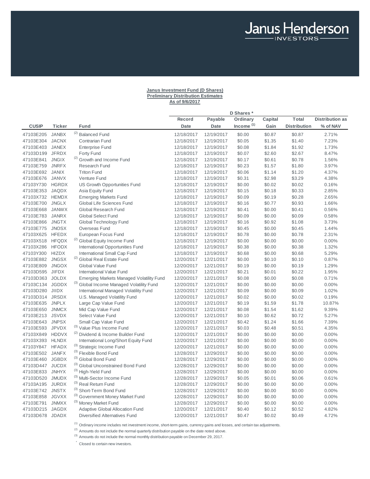# **Janus Investment Fund (D Shares) Preliminary Distribution Estimates As of 9/6/2017**

Janus Henderson

|                 |               |                                                 |             |                | D Shares*             |         |                     |                        |
|-----------------|---------------|-------------------------------------------------|-------------|----------------|-----------------------|---------|---------------------|------------------------|
|                 |               |                                                 | Record      | <b>Payable</b> | Ordinary              | Capital | <b>Total</b>        | <b>Distribution as</b> |
| <b>CUSIP</b>    | <b>Ticker</b> | Fund                                            | <b>Date</b> | <b>Date</b>    | Income <sup>(1)</sup> | Gain    | <b>Distribution</b> | % of NAV               |
| 47103E205       | <b>JANBX</b>  | <sup>(2)</sup> Balanced Fund                    | 12/18/2017  | 12/19/2017     | \$0.00                | \$0.87  | \$0.87              | 2.71%                  |
| 47103E304       | <b>JACNX</b>  | <b>Contrarian Fund</b>                          | 12/18/2017  | 12/19/2017     | \$0.05                | \$1.35  | \$1.40              | 7.23%                  |
| 47103E403       | <b>JANEX</b>  | <b>Enterprise Fund</b>                          | 12/18/2017  | 12/19/2017     | \$0.08                | \$1.84  | \$1.92              | 1.73%                  |
| 47103D199 JFRDX |               | Forty Fund                                      | 12/18/2017  | 12/19/2017     | \$0.07                | \$2.60  | \$2.67              | 8.47%                  |
| 47103E841       | <b>JNGIX</b>  | <sup>(2)</sup> Growth and Income Fund           | 12/18/2017  | 12/19/2017     | \$0.17                | \$0.61  | \$0.78              | 1.56%                  |
| 47103E759       | <b>JNRFX</b>  | <b>Research Fund</b>                            | 12/18/2017  | 12/19/2017     | \$0.23                | \$1.57  | \$1.80              | 3.97%                  |
| 47103E692       | <b>JANIX</b>  | <b>Triton Fund</b>                              | 12/18/2017  | 12/19/2017     | \$0.06                | \$1.14  | \$1.20              | 4.37%                  |
| 47103E676       | <b>JANVX</b>  | Venture Fund                                    | 12/18/2017  | 12/19/2017     | \$0.31                | \$2.98  | \$3.29              | 4.38%                  |
| 47103Y730       | <b>HGRDX</b>  | US Growth Opportunities Fund                    | 12/18/2017  | 12/19/2017     | \$0.00                | \$0.02  | \$0.02              | 0.16%                  |
| 47103E353       | <b>JAQDX</b>  | Asia Equity Fund                                | 12/18/2017  | 12/19/2017     | \$0.15                | \$0.18  | \$0.33              | 2.85%                  |
| 47103X732       | <b>HEMDX</b>  | <b>Emerging Markets Fund</b>                    | 12/18/2017  | 12/19/2017     | \$0.09                | \$0.19  | \$0.28              | 2.65%                  |
| 47103E700       | <b>JNGLX</b>  | Global Life Sciences Fund                       | 12/18/2017  | 12/19/2017     | \$0.16                | \$0.77  | \$0.93              | 1.66%                  |
| 47103E668       | <b>JANWX</b>  | Global Research Fund                            | 12/18/2017  | 12/19/2017     | \$0.41                | \$0.00  | \$0.41              | 0.56%                  |
| 47103E783       | <b>JANRX</b>  | <b>Global Select Fund</b>                       | 12/18/2017  | 12/19/2017     | \$0.09                | \$0.00  | \$0.09              | 0.58%                  |
| 47103E866       | <b>JNGTX</b>  | Global Technology Fund                          | 12/18/2017  | 12/19/2017     | \$0.16                | \$0.92  | \$1.08              | 3.73%                  |
| 47103E775       | <b>JNOSX</b>  | Overseas Fund                                   | 12/18/2017  | 12/19/2017     | \$0.45                | \$0.00  | \$0.45              | 1.44%                  |
| 47103X625       | <b>HFEDX</b>  | European Focus Fund                             | 12/18/2017  | 12/19/2017     | \$0.78                | \$0.00  | \$0.78              | 2.31%                  |
| 47103X518       | <b>HFQDX</b>  | (2) Global Equity Income Fund                   | 12/18/2017  | 12/19/2017     | \$0.00                | \$0.00  | \$0.00              | 0.00%                  |
| 47103X286       | <b>HFODX</b>  | International Opportunities Fund                | 12/18/2017  | 12/19/2017     | \$0.38                | \$0.00  | \$0.38              | 1.32%                  |
| 47103Y300       | <b>HIZDX</b>  | International Small Cap Fund                    | 12/18/2017  | 12/19/2017     | \$0.68                | \$0.00  | \$0.68              | 5.29%                  |
| 47103E882       | <b>JNGSX</b>  | <sup>(2)</sup> Global Real Estate Fund          | 12/20/2017  | 12/21/2017     | \$0.00                | \$0.10  | \$0.10              | 0.87%                  |
| 47103E809       | <b>JNGOX</b>  | Global Value Fund                               | 12/20/2017  | 12/21/2017     | \$0.19                | \$0.00  | \$0.19              | 1.29%                  |
| 47103D595 JIFDX |               | International Value Fund                        | 12/20/2017  | 12/21/2017     | \$0.21                | \$0.01  | \$0.22              | 1.95%                  |
| 47103D363 JOLDX |               | <b>Emerging Markets Managed Volatility Fund</b> | 12/20/2017  | 12/21/2017     | \$0.08                | \$0.00  | \$0.08              | 0.71%                  |
| 47103C134       | <b>JGDDX</b>  | (3) Global Income Managed Volatility Fund       | 12/20/2017  | 12/21/2017     | \$0.00                | \$0.00  | \$0.00              | 0.00%                  |
| 47103D280 JIIDX |               | <b>International Managed Volatility Fund</b>    | 12/20/2017  | 12/21/2017     | \$0.09                | \$0.00  | \$0.09              | 1.02%                  |
| 47103D314       | <b>JRSDX</b>  | U.S. Managed Volatility Fund                    | 12/20/2017  | 12/21/2017     | \$0.02                | \$0.00  | \$0.02              | 0.19%                  |
| 47103E635       | <b>JNPLX</b>  | Large Cap Value Fund                            | 12/20/2017  | 12/21/2017     | \$0.19                | \$1.59  | \$1.78              | 10.87%                 |
| 47103E650       | <b>JNMCX</b>  | Mid Cap Value Fund                              | 12/20/2017  | 12/21/2017     | \$0.08                | \$1.54  | \$1.62              | 9.39%                  |
| 47103E213       | <b>JSVDX</b>  | Select Value Fund                               | 12/20/2017  | 12/21/2017     | \$0.10                | \$0.62  | \$0.72              | 5.27%                  |
| 47103E643       | <b>JNPSX</b>  | Small Cap Value Fund                            | 12/20/2017  | 12/21/2017     | \$0.42                | \$1.24  | \$1.66              | 7.39%                  |
| 47103E593       | <b>JPVDX</b>  | (3) Value Plus Income Fund                      | 12/20/2017  | 12/21/2017     | \$0.03                | \$0.48  | \$0.51              | 4.35%                  |
| 47103X849       | <b>HDDVX</b>  | (2) Dividend & Income Builder Fund              | 12/20/2017  | 12/21/2017     | \$0.00                | \$0.00  | \$0.00              | 0.00%                  |
| 47103X393       | <b>HLNDX</b>  | International Long/Short Equity Fund            | 12/20/2017  | 12/21/2017     | \$0.00                | \$0.00  | \$0.00              | 0.00%                  |
| 47103Y847 HFADX |               | (3) Strategic Income Fund                       | 12/20/2017  | 12/21/2017     | \$0.00                | \$0.00  | \$0.00              | 0.00%                  |
| 47103E502       | <b>JANFX</b>  | (3) Flexible Bond Fund                          | 12/28/2017  | 12/29/2017     | \$0.00                | \$0.00  | \$0.00              | 0.00%                  |
| 47103E460 JGBDX |               | (3) Global Bond Fund                            | 12/28/2017  | 12/29/2017     | \$0.00                | \$0.00  | \$0.00              | 0.00%                  |
| 47103D447       | <b>JUCDX</b>  | (3) Global Unconstrained Bond Fund              | 12/28/2017  | 12/29/2017     | \$0.00                | \$0.00  | \$0.00              | 0.00%                  |
| 47103E833       | <b>JNHYX</b>  | (3) High-Yield Fund                             | 12/28/2017  | 12/29/2017     | \$0.00                | \$0.00  | \$0.00              | 0.00%                  |
| 47103D520       | <b>JMUDX</b>  | (3) Multi-Sector Income Fund                    | 12/28/2017  | 12/29/2017     | \$0.05                | \$0.01  | \$0.06              | 0.61%                  |
| 47103A195       | <b>JURDX</b>  | (3) Real Return Fund                            | 12/28/2017  | 12/29/2017     | \$0.00                | \$0.00  | \$0.00              | 0.00%                  |
| 47103E742       | <b>JNSTX</b>  | (3) Short-Term Bond Fund                        | 12/28/2017  | 12/29/2017     | \$0.00                | \$0.00  | \$0.00              | 0.00%                  |
| 47103E858       | <b>JGVXX</b>  | (3) Government Money Market Fund                | 12/28/2017  | 12/29/2017     | \$0.00                | \$0.00  | \$0.00              | 0.00%                  |
| 47103E791       | <b>JNMXX</b>  | (3) Money Market Fund                           | 12/28/2017  | 12/29/2017     | \$0.00                | \$0.00  | \$0.00              | 0.00%                  |
| 47103D215 JAGDX |               | <b>Adaptive Global Allocation Fund</b>          | 12/20/2017  | 12/21/2017     | \$0.40                | \$0.12  | \$0.52              | 4.82%                  |
| 47103D678 JDADX |               | <b>Diversified Alternatives Fund</b>            | 12/20/2017  | 12/21/2017     | \$0.47                | \$0.02  | \$0.49              | 4.72%                  |
|                 |               |                                                 |             |                |                       |         |                     |                        |

<sup>(1)</sup> Ordinary income includes net investment income, short-term gains, currency gains and losses, and certain tax adjustments.

(2) Amounts do not include the normal quarterly distribution payable on the date noted above.

(3) Amounts do not include the normal monthly distribution payable on December 29, 2017.

 $\check{\phantom{a}}$  Closed to certain new investors.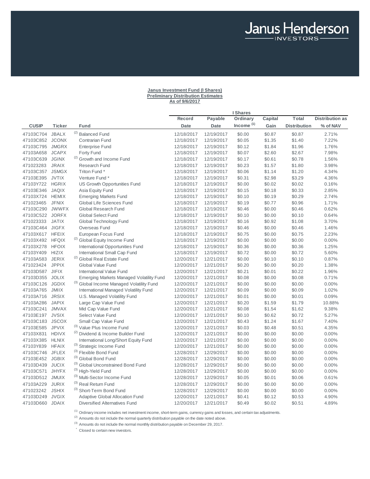### **Janus Investment Fund (I Shares) Preliminary Distribution Estimates As of 9/6/2017**

Janus Henderson

|                        |                              |                                                                             |                          |                          | <b>I</b> Shares       |                  |                     |                        |
|------------------------|------------------------------|-----------------------------------------------------------------------------|--------------------------|--------------------------|-----------------------|------------------|---------------------|------------------------|
|                        |                              |                                                                             | Record                   | <b>Payable</b>           | Ordinary              | Capital          | Total               | <b>Distribution as</b> |
| <b>CUSIP</b>           | Ticker                       | Fund                                                                        | <b>Date</b>              | <b>Date</b>              | Income <sup>(1)</sup> | Gain             | <b>Distribution</b> | % of NAV               |
| 47103C704              | <b>JBALX</b>                 | <sup>(2)</sup> Balanced Fund                                                | 12/18/2017               | 12/19/2017               | \$0.00                | \$0.87           | \$0.87              | 2.71%                  |
| 47103C852              | <b>JCONX</b>                 | <b>Contrarian Fund</b>                                                      | 12/18/2017               | 12/19/2017               | \$0.05                | \$1.35           | \$1.40              | 7.22%                  |
| 47103C795              | <b>JMGRX</b>                 | <b>Enterprise Fund</b>                                                      | 12/18/2017               | 12/19/2017               | \$0.12                | \$1.84           | \$1.96              | 1.76%                  |
| 47103A658              | <b>JCAPX</b>                 | Forty Fund                                                                  | 12/18/2017               | 12/19/2017               | \$0.07                | \$2.60           | \$2.67              | 7.98%                  |
| 47103C639              | <b>JGINX</b>                 | <sup>(2)</sup> Growth and Income Fund                                       | 12/18/2017               | 12/19/2017               | \$0.17                | \$0.61           | \$0.78              | 1.56%                  |
| 471023283              | <b>JRAIX</b>                 | <b>Research Fund</b>                                                        | 12/18/2017               | 12/19/2017               | \$0.23                | \$1.57           | \$1.80              | 3.98%                  |
| 47103C357              | <b>JSMGX</b>                 | Triton Fund *                                                               | 12/18/2017               | 12/19/2017               | \$0.06                | \$1.14           | \$1.20              | 4.34%                  |
| 47103E395              | <b>JVTIX</b>                 | Venture Fund *                                                              | 12/18/2017               | 12/19/2017               | \$0.31                | \$2.98           | \$3.29              | 4.36%                  |
| 47103Y722              | <b>HGRIX</b>                 | US Growth Opportunities Fund                                                | 12/18/2017               | 12/19/2017               | \$0.00                | \$0.02           | \$0.02              | 0.16%                  |
| 47103E346              | <b>JAQIX</b>                 | Asia Equity Fund                                                            | 12/18/2017               | 12/19/2017               | \$0.15                | \$0.18           | \$0.33              | 2.85%                  |
| 47103X724 HEMIX        |                              | <b>Emerging Markets Fund</b>                                                | 12/18/2017               | 12/19/2017               | \$0.10                | \$0.19           | \$0.29              | 2.74%                  |
| 471023465              | <b>JFNIX</b>                 | Global Life Sciences Fund                                                   | 12/18/2017               | 12/19/2017               | \$0.19                | \$0.77           | \$0.96              | 1.71%                  |
| 47103C290 JWWFX        |                              | Global Research Fund                                                        | 12/18/2017               | 12/19/2017               | \$0.46                | \$0.00           | \$0.46              | 0.62%                  |
| 47103C522              | <b>JORFX</b>                 | <b>Global Select Fund</b>                                                   | 12/18/2017               | 12/19/2017               | \$0.10                | \$0.00           | \$0.10              | 0.64%                  |
| 471023333              | <b>JATIX</b>                 | Global Technology Fund                                                      | 12/18/2017               | 12/19/2017               | \$0.16                | \$0.92           | \$1.08              | 3.70%                  |
| 47103C464              | <b>JIGFX</b>                 | Overseas Fund                                                               | 12/18/2017               | 12/19/2017               | \$0.46                | \$0.00           | \$0.46              | 1.46%                  |
| 47103X617 HFEIX        |                              | European Focus Fund                                                         | 12/18/2017               | 12/19/2017               | \$0.75                | \$0.00           | \$0.75              | 2.23%                  |
| 47103X492 HFQIX        |                              | <sup>(2)</sup> Global Equity Income Fund                                    | 12/18/2017               | 12/19/2017               | \$0.00                | \$0.00           | \$0.00              | 0.00%                  |
| 47103X278              | <b>HFOIX</b>                 | <b>International Opportunities Fund</b>                                     | 12/18/2017               | 12/19/2017               | \$0.36                | \$0.00           | \$0.36              | 1.25%                  |
| 47103Y409              | <b>HIZIX</b>                 | International Small Cap Fund                                                | 12/18/2017               | 12/19/2017               | \$0.72                | \$0.00           | \$0.72              | 5.60%                  |
| 47103A583              | <b>JERIX</b>                 | <sup>(2)</sup> Global Real Estate Fund                                      | 12/20/2017               | 12/21/2017               | \$0.00                | \$0.10           | \$0.10              | 0.87%                  |
| 471023424<br>47103D587 | <b>JPPIX</b><br><b>JIFIX</b> | <b>Global Value Fund</b>                                                    | 12/20/2017               | 12/21/2017               | \$0.20                | \$0.00           | \$0.20              | 1.38%                  |
|                        | <b>JOLIX</b>                 | International Value Fund<br><b>Emerging Markets Managed Volatility Fund</b> | 12/20/2017               | 12/21/2017               | \$0.21<br>\$0.08      | \$0.01<br>\$0.00 | \$0.22<br>\$0.08    | 1.96%                  |
| 47103D355<br>47103C126 | <b>JGDIX</b>                 | (3) Global Income Managed Volatility Fund                                   | 12/20/2017<br>12/20/2017 | 12/21/2017<br>12/21/2017 | \$0.00                | \$0.00           | \$0.00              | 0.71%<br>0.00%         |
| 47103A765              | <b>JMIIX</b>                 | <b>International Managed Volatility Fund</b>                                | 12/20/2017               | 12/21/2017               | \$0.09                | \$0.00           | \$0.09              | 1.02%                  |
| 47103A716              | <b>JRSIX</b>                 | U.S. Managed Volatility Fund                                                | 12/20/2017               | 12/21/2017               | \$0.01                | \$0.00           | \$0.01              | 0.09%                  |
| 47103A286              | <b>JAPIX</b>                 | Large Cap Value Fund                                                        | 12/20/2017               | 12/21/2017               | \$0.20                | \$1.59           | \$1.79              | 10.88%                 |
| 47103C241 JMVAX        |                              | Mid Cap Value Fund                                                          | 12/20/2017               | 12/21/2017               | \$0.08                | \$1.54           | \$1.62              | 9.38%                  |
| 47103E197              | <b>JVSIX</b>                 | Select Value Fund                                                           | 12/20/2017               | 12/21/2017               | \$0.10                | \$0.62           | \$0.72              | 5.27%                  |
| 47103C183 JSCOX        |                              | Small Cap Value Fund                                                        | 12/20/2017               | 12/21/2017               | \$0.43                | \$1.24           | \$1.67              | 7.40%                  |
| 47103E585              | <b>JPVIX</b>                 | (3) Value Plus Income Fund                                                  | 12/20/2017               | 12/21/2017               | \$0.03                | \$0.48           | \$0.51              | 4.35%                  |
| 47103X831              | <b>HDIVX</b>                 | <sup>(2)</sup> Dividend & Income Builder Fund                               | 12/20/2017               | 12/21/2017               | \$0.00                | \$0.00           | \$0.00              | 0.00%                  |
| 47103X385              | <b>HLNIX</b>                 | International Long/Short Equity Fund                                        | 12/20/2017               | 12/21/2017               | \$0.00                | \$0.00           | \$0.00              | 0.00%                  |
| 47103Y839              | <b>HFAIX</b>                 | (3) Strategic Income Fund                                                   | 12/20/2017               | 12/21/2017               | \$0.00                | \$0.00           | \$0.00              | 0.00%                  |
| 47103C746              | <b>JFLEX</b>                 | (3) Flexible Bond Fund                                                      | 12/28/2017               | 12/29/2017               | \$0.00                | \$0.00           | \$0.00              | 0.00%                  |
| 47103E452              | <b>JGBIX</b>                 | (3) Global Bond Fund                                                        | 12/28/2017               | 12/29/2017               | \$0.00                | \$0.00           | \$0.00              | 0.00%                  |
| 47103D439 JUCIX        |                              | (3) Global Unconstrained Bond Fund                                          | 12/28/2017               | 12/29/2017               | \$0.00                | \$0.00           | \$0.00              | 0.00%                  |
| 47103C571              | <b>JHYFX</b>                 | (3) High-Yield Fund                                                         | 12/28/2017               | 12/29/2017               | \$0.00                | \$0.00           | \$0.00              | 0.00%                  |
| 47103D512 JMUIX        |                              | (3) Multi-Sector Income Fund                                                | 12/28/2017               | 12/29/2017               | \$0.05                | \$0.01           | \$0.06              | 0.61%                  |
| 47103A229              | <b>JURIX</b>                 | (3) Real Return Fund                                                        | 12/28/2017               | 12/29/2017               | \$0.00                | \$0.00           | \$0.00              | 0.00%                  |
| 471023242              | <b>JSHIX</b>                 | (3) Short-Term Bond Fund                                                    | 12/28/2017               | 12/29/2017               | \$0.00                | \$0.00           | \$0.00              | 0.00%                  |
| 47103D249 JVGIX        |                              | Adaptive Global Allocation Fund                                             | 12/20/2017               | 12/21/2017               | \$0.41                | \$0.12           | \$0.53              | 4.90%                  |
| 47103D660 JDAIX        |                              | <b>Diversified Alternatives Fund</b>                                        | 12/20/2017               | 12/21/2017               | \$0.49                | \$0.02           | \$0.51              | 4.89%                  |

 $<sup>(1)</sup>$  Ordinary income includes net investment income, short-term gains, currency gains and losses, and certain tax adjustments.</sup>

 $<sup>(2)</sup>$  Amounts do not include the normal quarterly distribution payable on the date noted above.</sup>

 $^{(3)}$  Amounts do not include the normal monthly distribution payable on December 29, 2017.

 $\dot{\phantom{a}}$  Closed to certain new investors.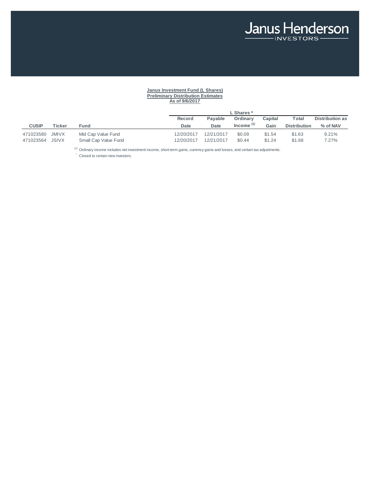# **Janus Investment Fund (L Shares) Preliminary Distribution Estimates As of 9/6/2017**

|              |              |                      | L Shares * |            |              |         |                     |                        |  |
|--------------|--------------|----------------------|------------|------------|--------------|---------|---------------------|------------------------|--|
|              |              |                      | Record     | Pavable    | Ordinary     | Capital | Total               | <b>Distribution as</b> |  |
| <b>CUSIP</b> | Ticker       | Fund                 | Date       | Date       | Income $(1)$ | Gain    | <b>Distribution</b> | % of NAV               |  |
| 471023580    | JMIVX        | Mid Cap Value Fund   | 12/20/2017 | 12/21/2017 | \$0.09       | \$1.54  | \$1.63              | 9.21%                  |  |
| 471023564    | <b>JSIVX</b> | Small Cap Value Fund | 12/20/2017 | 12/21/2017 | \$0.44       | \$1.24  | \$1.68              | 7.27%                  |  |

 $(1)$  Ordinary income includes net investment income, short-term gains, currency gains and losses, and certain tax adjustments.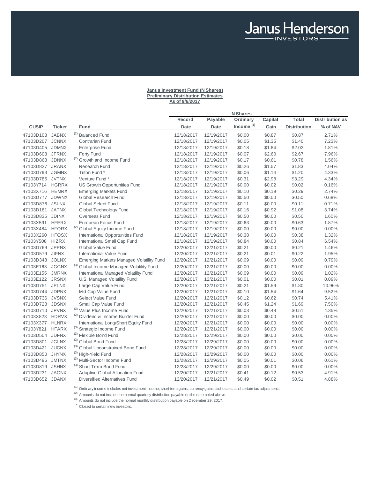### **Janus Investment Fund (N Shares) Preliminary Distribution Estimates As of 9/6/2017**

Janus Henderson

|                 |              |                                                 |            |            | <b>N</b> Shares |         |                     |                        |
|-----------------|--------------|-------------------------------------------------|------------|------------|-----------------|---------|---------------------|------------------------|
|                 |              |                                                 | Record     | Payable    | Ordinary        | Capital | Total               | <b>Distribution as</b> |
| <b>CUSIP</b>    | Ticker       | Fund                                            | Date       | Date       | Income $(1)$    | Gain    | <b>Distribution</b> | % of NAV               |
| 47103D108       | <b>JABNX</b> | <sup>(2)</sup> Balanced Fund                    | 12/18/2017 | 12/19/2017 | \$0.00          | \$0.87  | \$0.87              | 2.71%                  |
| 47103D207       | <b>JCNNX</b> | <b>Contrarian Fund</b>                          | 12/18/2017 | 12/19/2017 | \$0.05          | \$1.35  | \$1.40              | 7.23%                  |
| 47103D405       | <b>JDMNX</b> | <b>Enterprise Fund</b>                          | 12/18/2017 | 12/19/2017 | \$0.18          | \$1.84  | \$2.02              | 1.81%                  |
| 47103D603 JFRNX |              | Forty Fund                                      | 12/18/2017 | 12/19/2017 | \$0.07          | \$2.60  | \$2.67              | 7.96%                  |
| 47103D868       | <b>JDNNX</b> | <sup>(2)</sup> Growth and Income Fund           | 12/18/2017 | 12/19/2017 | \$0.17          | \$0.61  | \$0.78              | 1.56%                  |
| 47103D827       | <b>JRANX</b> | Research Fund                                   | 12/18/2017 | 12/19/2017 | \$0.26          | \$1.57  | \$1.83              | 4.04%                  |
| 47103D793 JGMNX |              | Triton Fund *                                   | 12/18/2017 | 12/19/2017 | \$0.06          | \$1.14  | \$1.20              | 4.33%                  |
| 47103D785 JVTNX |              | Venture Fund *                                  | 12/18/2017 | 12/19/2017 | \$0.31          | \$2.98  | \$3.29              | 4.34%                  |
| 47103Y714       | <b>HGRRX</b> | US Growth Opportunities Fund                    | 12/18/2017 | 12/19/2017 | \$0.00          | \$0.02  | \$0.02              | 0.16%                  |
| 47103X716 HEMRX |              | <b>Emerging Markets Fund</b>                    | 12/18/2017 | 12/19/2017 | \$0.10          | \$0.19  | \$0.29              | 2.74%                  |
| 47103D777 JDWNX |              | Global Research Fund                            | 12/18/2017 | 12/19/2017 | \$0.50          | \$0.00  | \$0.50              | 0.68%                  |
| 47103D876       | <b>JSLNX</b> | <b>Global Select Fund</b>                       | 12/18/2017 | 12/19/2017 | \$0.11          | \$0.00  | \$0.11              | 0.71%                  |
| 47103D181       | <b>JATNX</b> | Global Technology Fund                          | 12/18/2017 | 12/19/2017 | \$0.16          | \$0.92  | \$1.08              | 3.74%                  |
| 47103D835       | <b>JDINX</b> | Overseas Fund                                   | 12/18/2017 | 12/19/2017 | \$0.50          | \$0.00  | \$0.50              | 1.60%                  |
| 47103X591       | <b>HFERX</b> | European Focus Fund                             | 12/18/2017 | 12/19/2017 | \$0.63          | \$0.00  | \$0.63              | 1.87%                  |
| 47103X484       | <b>HFQRX</b> | <sup>(2)</sup> Global Equity Income Fund        | 12/18/2017 | 12/19/2017 | \$0.00          | \$0.00  | \$0.00              | 0.00%                  |
| 47103X260       | <b>HFOSX</b> | <b>International Opportunities Fund</b>         | 12/18/2017 | 12/19/2017 | \$0.38          | \$0.00  | \$0.38              | 1.32%                  |
| 47103Y508       | <b>HIZRX</b> | International Small Cap Fund                    | 12/18/2017 | 12/19/2017 | \$0.84          | \$0.00  | \$0.84              | 6.54%                  |
| 47103D769       | <b>JPPNX</b> | <b>Global Value Fund</b>                        | 12/20/2017 | 12/21/2017 | \$0.21          | \$0.00  | \$0.21              | 1.46%                  |
| 47103D579       | <b>JIFNX</b> | <b>International Value Fund</b>                 | 12/20/2017 | 12/21/2017 | \$0.21          | \$0.01  | \$0.22              | 1.95%                  |
| 47103D348       | <b>JOLNX</b> | <b>Emerging Markets Managed Volatility Fund</b> | 12/20/2017 | 12/21/2017 | \$0.09          | \$0.00  | \$0.09              | 0.79%                  |
| 47103E163       | <b>JGGNX</b> | (3) Global Income Managed Volatility Fund       | 12/20/2017 | 12/21/2017 | \$0.00          | \$0.00  | \$0.00              | 0.00%                  |
| 47103E155       | <b>JMRNX</b> | <b>International Managed Volatility Fund</b>    | 12/20/2017 | 12/21/2017 | \$0.09          | \$0.00  | \$0.09              | 1.02%                  |
| 47103E122       | <b>JRSNX</b> | U.S. Managed Volatility Fund                    | 12/20/2017 | 12/21/2017 | \$0.01          | \$0.00  | \$0.01              | 0.09%                  |
| 47103D751       | <b>JPLNX</b> | Large Cap Value Fund                            | 12/20/2017 | 12/21/2017 | \$0.21          | \$1.59  | \$1.80              | 10.96%                 |
| 47103D744       | <b>JDPNX</b> | Mid Cap Value Fund                              | 12/20/2017 | 12/21/2017 | \$0.10          | \$1.54  | \$1.64              | 9.52%                  |
| 47103D736       | <b>JVSNX</b> | Select Value Fund                               | 12/20/2017 | 12/21/2017 | \$0.12          | \$0.62  | \$0.74              | 5.41%                  |
| 47103D728       | <b>JDSNX</b> | Small Cap Value Fund                            | 12/20/2017 | 12/21/2017 | \$0.45          | \$1.24  | \$1.69              | 7.50%                  |
| 47103D710 JPVNX |              | (3) Value Plus Income Fund                      | 12/20/2017 | 12/21/2017 | \$0.03          | \$0.48  | \$0.51              | 4.35%                  |
| 47103X823       | <b>HDRVX</b> | <sup>(2)</sup> Dividend & Income Builder Fund   | 12/20/2017 | 12/21/2017 | \$0.00          | \$0.00  | \$0.00              | 0.00%                  |
| 47103X377       | <b>HLNRX</b> | International Long/Short Equity Fund            | 12/20/2017 | 12/21/2017 | \$0.00          | \$0.00  | \$0.00              | 0.00%                  |
| 47103Y821       | <b>HFARX</b> | (3) Strategic Income Fund                       | 12/20/2017 | 12/21/2017 | \$0.00          | \$0.00  | \$0.00              | 0.00%                  |
| 47103D504       | <b>JDFNX</b> | (3) Flexible Bond Fund                          | 12/28/2017 | 12/29/2017 | \$0.00          | \$0.00  | \$0.00              | 0.00%                  |
| 47103D801       | <b>JGLNX</b> | (3) Global Bond Fund                            | 12/28/2017 | 12/29/2017 | \$0.00          | \$0.00  | \$0.00              | 0.00%                  |
| 47103D421       | <b>JUCNX</b> | (3) Global Unconstrained Bond Fund              | 12/28/2017 | 12/29/2017 | \$0.00          | \$0.00  | \$0.00              | 0.00%                  |
| 47103D850       | <b>JHYNX</b> | (3) High-Yield Fund                             | 12/28/2017 | 12/29/2017 | \$0.00          | \$0.00  | \$0.00              | 0.00%                  |
| 47103D496       | <b>JMTNX</b> | (3) Multi-Sector Income Fund                    | 12/28/2017 | 12/29/2017 | \$0.05          | \$0.01  | \$0.06              | 0.61%                  |
| 47103D819       | <b>JSHNX</b> | (3) Short-Term Bond Fund                        | 12/28/2017 | 12/29/2017 | \$0.00          | \$0.00  | \$0.00              | 0.00%                  |
| 47103D231       | <b>JAGNX</b> | <b>Adaptive Global Allocation Fund</b>          | 12/20/2017 | 12/21/2017 | \$0.41          | \$0.12  | \$0.53              | 4.91%                  |
| 47103D652 JDANX |              | <b>Diversified Alternatives Fund</b>            | 12/20/2017 | 12/21/2017 | \$0.49          | \$0.02  | \$0.51              | 4.88%                  |

(1) Ordinary income includes net investment income, short-term gains, currency gains and losses, and certain tax adjustments.

(2) Amounts do not include the normal quarterly distribution payable on the date noted above.

 $(3)$  Amounts do not include the normal monthly distribution payable on December 29, 2017.

 $\dot{\phantom{a}}$  Closed to certain new investors.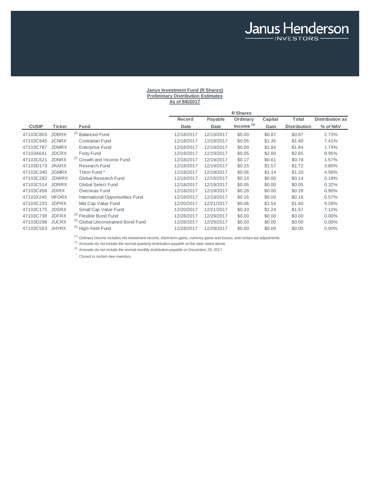# **Janus Investment Fund (R Shares) Preliminary Distribution Estimates As of 9/6/2017**

Janus Henderson

|              |              |                                    |             |            | <b>R</b> Shares |         |                     |                        |
|--------------|--------------|------------------------------------|-------------|------------|-----------------|---------|---------------------|------------------------|
|              |              |                                    | Record      | Payable    | Ordinary        | Capital | Total               | <b>Distribution as</b> |
| <b>CUSIP</b> | Ticker       | Fund                               | <b>Date</b> | Date       | Income $(1)$    | Gain    | <b>Distribution</b> | % of NAV               |
| 47103C803    | <b>JDBRX</b> | (2)<br><b>Balanced Fund</b>        | 12/18/2017  | 12/19/2017 | \$0.00          | \$0.87  | \$0.87              | 2.73%                  |
| 47103C845    | <b>JCNRX</b> | <b>Contrarian Fund</b>             | 12/18/2017  | 12/19/2017 | \$0.05          | \$1.35  | \$1.40              | 7.41%                  |
| 47103C787    | <b>JDMRX</b> | <b>Enterprise Fund</b>             | 12/18/2017  | 12/19/2017 | \$0.00          | \$1.84  | \$1.84              | 1.74%                  |
| 47103A641    | <b>JDCRX</b> | <b>Forty Fund</b>                  | 12/18/2017  | 12/19/2017 | \$0.05          | \$2.60  | \$2.65              | 8.95%                  |
| 47103C621    | <b>JDNRX</b> | (2) Growth and Income Fund         | 12/18/2017  | 12/19/2017 | \$0.17          | \$0.61  | \$0.78              | 1.57%                  |
| 47103D173    | <b>JRARX</b> | Research Fund                      | 12/18/2017  | 12/19/2017 | \$0.15          | \$1.57  | \$1.72              | 3.80%                  |
| 47103C340    | <b>JGMRX</b> | Triton Fund *                      | 12/18/2017  | 12/19/2017 | \$0.06          | \$1.14  | \$1.20              | 4.56%                  |
| 47103C282    | <b>JDWRX</b> | Global Research Fund               | 12/18/2017  | 12/19/2017 | \$0.14          | \$0.00  | \$0.14              | 0.19%                  |
| 47103C514    | <b>JORRX</b> | <b>Global Select Fund</b>          | 12/18/2017  | 12/19/2017 | \$0.05          | \$0.00  | \$0.05              | 0.32%                  |
| 47103C456    | <b>JDIRX</b> | Overseas Fund                      | 12/18/2017  | 12/19/2017 | \$0.28          | \$0.00  | \$0.28              | 0.90%                  |
| 47103X245    | <b>HFORX</b> | International Opportunities Fund   | 12/18/2017  | 12/19/2017 | \$0.16          | \$0.00  | \$0.16              | 0.57%                  |
| 47103C233    | <b>JDPRX</b> | Mid Cap Value Fund                 | 12/20/2017  | 12/21/2017 | \$0.06          | \$1.54  | \$1.60              | 9.28%                  |
| 47103C175    | <b>JDSRX</b> | Small Cap Value Fund               | 12/20/2017  | 12/21/2017 | \$0.33          | \$1.24  | \$1.57              | 7.12%                  |
| 47103C738    | <b>JDFRX</b> | (3) Flexible Bond Fund             | 12/28/2017  | 12/29/2017 | \$0.00          | \$0.00  | \$0.00              | $0.00\%$               |
| 47103D298    | <b>JUCRX</b> | (3) Global Unconstrained Bond Fund | 12/28/2017  | 12/29/2017 | \$0.00          | \$0.00  | \$0.00              | $0.00\%$               |
| 47103C563    | <b>JHYRX</b> | (3) High-Yield Fund                | 12/28/2017  | 12/29/2017 | \$0.00          | \$0.00  | \$0.00              | $0.00\%$               |

<sup>(1)</sup> Ordinary income includes net investment income, short-term gains, currency gains and losses, and certain tax adjustments.

 $<sup>(2)</sup>$  Amounts do not include the normal quarterly distribution payable on the date noted above.</sup>

 $(3)$  Amounts do not include the normal monthly distribution payable on December 29, 2017.

 $\degree$  Closed to certain new investors.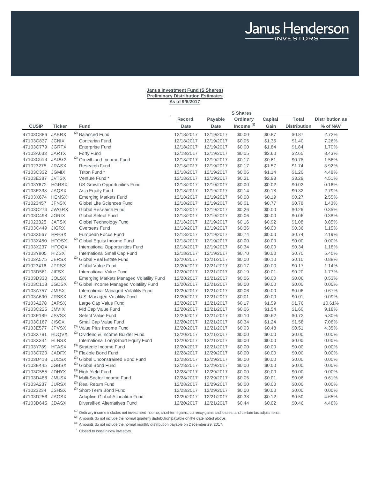# **Janus Investment Fund (S Shares) Preliminary Distribution Estimates As of 9/6/2017**

Janus Henderson

|                 |               |                                                 |            |             | <b>S</b> Shares       |         |                     |                        |
|-----------------|---------------|-------------------------------------------------|------------|-------------|-----------------------|---------|---------------------|------------------------|
|                 |               |                                                 | Record     | Payable     | Ordinary              | Capital | Total               | <b>Distribution as</b> |
| <b>CUSIP</b>    | <b>Ticker</b> | Fund                                            | Date       | <b>Date</b> | Income <sup>(1)</sup> | Gain    | <b>Distribution</b> | % of NAV               |
| 47103C886       | <b>JABRX</b>  | <sup>(2)</sup> Balanced Fund                    | 12/18/2017 | 12/19/2017  | \$0.00                | \$0.87  | \$0.87              | 2.72%                  |
| 47103C837       | <b>JCNIX</b>  | Contrarian Fund                                 | 12/18/2017 | 12/19/2017  | \$0.05                | \$1.35  | \$1.40              | 7.26%                  |
| 47103C779       | <b>JGRTX</b>  | <b>Enterprise Fund</b>                          | 12/18/2017 | 12/19/2017  | \$0.00                | \$1.84  | \$1.84              | 1.70%                  |
| 47103A633       | <b>JARTX</b>  | Forty Fund                                      | 12/18/2017 | 12/19/2017  | \$0.05                | \$2.60  | \$2.65              | 8.43%                  |
| 47103C613       | <b>JADGX</b>  | <sup>(2)</sup> Growth and Income Fund           | 12/18/2017 | 12/19/2017  | \$0.17                | \$0.61  | \$0.78              | 1.56%                  |
| 471023275       | <b>JRASX</b>  | Research Fund                                   | 12/18/2017 | 12/19/2017  | \$0.17                | \$1.57  | \$1.74              | 3.92%                  |
| 47103C332 JGMIX |               | Triton Fund *                                   | 12/18/2017 | 12/19/2017  | \$0.06                | \$1.14  | \$1.20              | 4.48%                  |
| 47103E387 JVTSX |               | Venture Fund *                                  | 12/18/2017 | 12/19/2017  | \$0.31                | \$2.98  | \$3.29              | 4.51%                  |
| 47103Y672       | <b>HGRSX</b>  | US Growth Opportunities Fund                    | 12/18/2017 | 12/19/2017  | \$0.00                | \$0.02  | \$0.02              | 0.16%                  |
| 47103E338       | <b>JAQSX</b>  | Asia Equity Fund                                | 12/18/2017 | 12/19/2017  | \$0.14                | \$0.18  | \$0.32              | 2.79%                  |
| 47103X674 HEMSX |               | <b>Emerging Markets Fund</b>                    | 12/18/2017 | 12/19/2017  | \$0.08                | \$0.19  | \$0.27              | 2.55%                  |
| 471023457       | <b>JFNSX</b>  | Global Life Sciences Fund                       | 12/18/2017 | 12/19/2017  | \$0.01                | \$0.77  | \$0.78              | 1.43%                  |
| 47103C274       | <b>JWGRX</b>  | Global Research Fund                            | 12/18/2017 | 12/19/2017  | \$0.26                | \$0.00  | \$0.26              | 0.35%                  |
| 47103C498       | <b>JORIX</b>  | <b>Global Select Fund</b>                       | 12/18/2017 | 12/19/2017  | \$0.06                | \$0.00  | \$0.06              | 0.38%                  |
| 471023325       | <b>JATSX</b>  | Global Technology Fund                          | 12/18/2017 | 12/19/2017  | \$0.16                | \$0.92  | \$1.08              | 3.85%                  |
| 47103C449       | <b>JIGRX</b>  | Overseas Fund                                   | 12/18/2017 | 12/19/2017  | \$0.36                | \$0.00  | \$0.36              | 1.15%                  |
| 47103X567       | <b>HFESX</b>  | European Focus Fund                             | 12/18/2017 | 12/19/2017  | \$0.74                | \$0.00  | \$0.74              | 2.19%                  |
| 47103X450 HFQSX |               | (2) Global Equity Income Fund                   | 12/18/2017 | 12/19/2017  | \$0.00                | \$0.00  | \$0.00              | 0.00%                  |
| 47103X237 HFOQX |               | <b>International Opportunities Fund</b>         | 12/18/2017 | 12/19/2017  | \$0.34                | \$0.00  | \$0.34              | 1.18%                  |
| 47103Y805       | <b>HIZSX</b>  | International Small Cap Fund                    | 12/18/2017 | 12/19/2017  | \$0.70                | \$0.00  | \$0.70              | 5.45%                  |
| 47103A575       | <b>JERSX</b>  | <sup>(2)</sup> Global Real Estate Fund          | 12/20/2017 | 12/21/2017  | \$0.00                | \$0.10  | \$0.10              | 0.88%                  |
| 471023416       | <b>JPPSX</b>  | Global Value Fund                               | 12/20/2017 | 12/21/2017  | \$0.17                | \$0.00  | \$0.17              | 1.14%                  |
| 47103D561       | <b>JIFSX</b>  | <b>International Value Fund</b>                 | 12/20/2017 | 12/21/2017  | \$0.19                | \$0.01  | \$0.20              | 1.77%                  |
| 47103D330       | <b>JOLSX</b>  | <b>Emerging Markets Managed Volatility Fund</b> | 12/20/2017 | 12/21/2017  | \$0.06                | \$0.00  | \$0.06              | 0.53%                  |
| 47103C118       | <b>JGDSX</b>  | (3) Global Income Managed Volatility Fund       | 12/20/2017 | 12/21/2017  | \$0.00                | \$0.00  | \$0.00              | 0.00%                  |
| 47103A757       | <b>JMISX</b>  | International Managed Volatility Fund           | 12/20/2017 | 12/21/2017  | \$0.06                | \$0.00  | \$0.06              | 0.67%                  |
| 47103A690       | <b>JRSSX</b>  | U.S. Managed Volatility Fund                    | 12/20/2017 | 12/21/2017  | \$0.01                | \$0.00  | \$0.01              | 0.09%                  |
| 47103A278       | <b>JAPSX</b>  | Large Cap Value Fund                            | 12/20/2017 | 12/21/2017  | \$0.17                | \$1.59  | \$1.76              | 10.61%                 |
| 47103C225       | <b>JMVIX</b>  | Mid Cap Value Fund                              | 12/20/2017 | 12/21/2017  | \$0.06                | \$1.54  | \$1.60              | 9.18%                  |
| 47103E189       | <b>JSVSX</b>  | Select Value Fund                               | 12/20/2017 | 12/21/2017  | \$0.10                | \$0.62  | \$0.72              | 5.30%                  |
| 47103C167 JISCX |               | Small Cap Value Fund                            | 12/20/2017 | 12/21/2017  | \$0.34                | \$1.24  | \$1.58              | 7.08%                  |
| 47103E577       | <b>JPVSX</b>  | (3) Value Plus Income Fund                      | 12/20/2017 | 12/21/2017  | \$0.03                | \$0.48  | \$0.51              | 4.35%                  |
| 47103X781       | <b>HDQVX</b>  | <sup>(2)</sup> Dividend & Income Builder Fund   | 12/20/2017 | 12/21/2017  | \$0.00                | \$0.00  | \$0.00              | 0.00%                  |
| 47103X344       | <b>HLNSX</b>  | International Long/Short Equity Fund            | 12/20/2017 | 12/21/2017  | \$0.00                | \$0.00  | \$0.00              | 0.00%                  |
| 47103Y789       | <b>HFASX</b>  | (3) Strategic Income Fund                       | 12/20/2017 | 12/21/2017  | \$0.00                | \$0.00  | \$0.00              | 0.00%                  |
| 47103C720       | <b>JADFX</b>  | (3) Flexible Bond Fund                          | 12/28/2017 | 12/29/2017  | \$0.00                | \$0.00  | \$0.00              | 0.00%                  |
| 47103D413       | <b>JUCSX</b>  | (3) Global Unconstrained Bond Fund              | 12/28/2017 | 12/29/2017  | \$0.00                | \$0.00  | \$0.00              | 0.00%                  |
| 47103E445 JGBSX |               | (3) Global Bond Fund                            | 12/28/2017 | 12/29/2017  | \$0.00                | \$0.00  | \$0.00              | 0.00%                  |
| 47103C555       | <b>JDHYX</b>  | (3) High-Yield Fund                             | 12/28/2017 | 12/29/2017  | \$0.00                | \$0.00  | \$0.00              | 0.00%                  |
| 47103D488       | <b>JMUSX</b>  | (3) Multi-Sector Income Fund                    | 12/28/2017 | 12/29/2017  | \$0.05                | \$0.01  | \$0.06              | 0.61%                  |
| 47103A237       | <b>JURSX</b>  | (3) Real Return Fund                            | 12/28/2017 | 12/29/2017  | \$0.00                | \$0.00  | \$0.00              | 0.00%                  |
| 471023234       | <b>JSHSX</b>  | (3) Short-Term Bond Fund                        | 12/28/2017 | 12/29/2017  | \$0.00                | \$0.00  | \$0.00              | 0.00%                  |
| 47103D256       | JAGSX         | <b>Adaptive Global Allocation Fund</b>          | 12/20/2017 | 12/21/2017  | \$0.38                | \$0.12  | \$0.50              | 4.65%                  |
| 47103D645 JDASX |               | <b>Diversified Alternatives Fund</b>            | 12/20/2017 | 12/21/2017  | \$0.44                | \$0.02  | \$0.46              | 4.48%                  |

<sup>(1)</sup> Ordinary income includes net investment income, short-term gains, currency gains and losses, and certain tax adjustments.

 $<sup>(2)</sup>$  Amounts do not include the normal quarterly distribution payable on the date noted above.</sup>

 $^{(3)}$  Amounts do not include the normal monthly distribution payable on December 29, 2017.

 $\dot{\phantom{\phi}}$  Closed to certain new investors.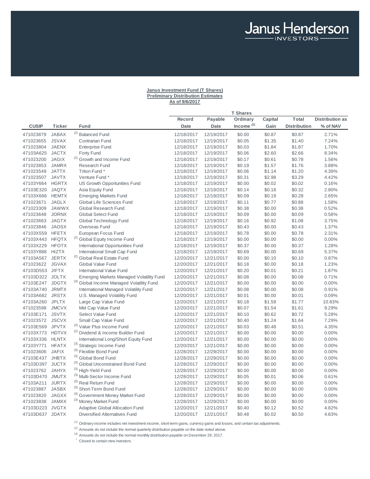# **Janus Investment Fund (T Shares) Preliminary Distribution Estimates As of 9/6/2017**

Janus Henderson

|                 |               |                                                 |             |             | <b>T Shares</b>       |         |                     |                        |
|-----------------|---------------|-------------------------------------------------|-------------|-------------|-----------------------|---------|---------------------|------------------------|
|                 |               |                                                 | Record      | Payable     | Ordinary              | Capital | Total               | <b>Distribution as</b> |
| <b>CUSIP</b>    | <b>Ticker</b> | Fund                                            | <b>Date</b> | <b>Date</b> | Income <sup>(1)</sup> | Gain    | <b>Distribution</b> | % of NAV               |
| 471023879       | <b>JABAX</b>  | <sup>(2)</sup> Balanced Fund                    | 12/18/2017  | 12/19/2017  | \$0.00                | \$0.87  | \$0.87              | 2.71%                  |
| 471023655       | <b>JSVAX</b>  | <b>Contrarian Fund</b>                          | 12/18/2017  | 12/19/2017  | \$0.05                | \$1.35  | \$1.40              | 7.24%                  |
| 471023804       | <b>JAENX</b>  | <b>Enterprise Fund</b>                          | 12/18/2017  | 12/19/2017  | \$0.03                | \$1.84  | \$1.87              | 1.70%                  |
| 47103A625       | <b>JACTX</b>  | Forty Fund                                      | 12/18/2017  | 12/19/2017  | \$0.06                | \$2.60  | \$2.66              | 8.34%                  |
| 471023200       | <b>JAGIX</b>  | <sup>(2)</sup> Growth and Income Fund           | 12/18/2017  | 12/19/2017  | \$0.17                | \$0.61  | \$0.78              | 1.56%                  |
| 471023853       | <b>JAMRX</b>  | <b>Research Fund</b>                            | 12/18/2017  | 12/19/2017  | \$0.19                | \$1.57  | \$1.76              | 3.88%                  |
| 471023549       | <b>JATTX</b>  | Triton Fund *                                   | 12/18/2017  | 12/19/2017  | \$0.06                | \$1.14  | \$1.20              | 4.39%                  |
| 471023507       | <b>JAVTX</b>  | Venture Fund *                                  | 12/18/2017  | 12/19/2017  | \$0.31                | \$2.98  | \$3.29              | 4.42%                  |
| 47103Y664       | <b>HGRTX</b>  | US Growth Opportunities Fund                    | 12/18/2017  | 12/19/2017  | \$0.00                | \$0.02  | \$0.02              | 0.16%                  |
| 47103E320       | <b>JAQTX</b>  | Asia Equity Fund                                | 12/18/2017  | 12/19/2017  | \$0.14                | \$0.18  | \$0.32              | 2.80%                  |
| 47103X666       | <b>HEMTX</b>  | <b>Emerging Markets Fund</b>                    | 12/18/2017  | 12/19/2017  | \$0.09                | \$0.19  | \$0.28              | 2.65%                  |
| 471023671       | <b>JAGLX</b>  | Global Life Sciences Fund                       | 12/18/2017  | 12/19/2017  | \$0.11                | \$0.77  | \$0.88              | 1.58%                  |
| 471023309       | <b>JAWWX</b>  | Global Research Fund                            | 12/18/2017  | 12/19/2017  | \$0.38                | \$0.00  | \$0.38              | 0.52%                  |
| 471023648       | <b>JORNX</b>  | <b>Global Select Fund</b>                       | 12/18/2017  | 12/19/2017  | \$0.09                | \$0.00  | \$0.09              | 0.58%                  |
| 471023663       | <b>JAGTX</b>  | Global Technology Fund                          | 12/18/2017  | 12/19/2017  | \$0.16                | \$0.92  | \$1.08              | 3.75%                  |
| 471023846       | <b>JAOSX</b>  | Overseas Fund                                   | 12/18/2017  | 12/19/2017  | \$0.43                | \$0.00  | \$0.43              | 1.37%                  |
| 47103X559       | <b>HFETX</b>  | European Focus Fund                             | 12/18/2017  | 12/19/2017  | \$0.78                | \$0.00  | \$0.78              | 2.31%                  |
| 47103X443       | <b>HFQTX</b>  | <sup>(2)</sup> Global Equity Income Fund        | 12/18/2017  | 12/19/2017  | \$0.00                | \$0.00  | \$0.00              | 0.00%                  |
| 47103X229       | <b>HFOTX</b>  | International Opportunities Fund                | 12/18/2017  | 12/19/2017  | \$0.37                | \$0.00  | \$0.37              | 1.28%                  |
| 47103Y888       | <b>HIZTX</b>  | International Small Cap Fund                    | 12/18/2017  | 12/19/2017  | \$0.69                | \$0.00  | \$0.69              | 5.37%                  |
| 47103A567       | <b>JERTX</b>  | <sup>(2)</sup> Global Real Estate Fund          | 12/20/2017  | 12/21/2017  | \$0.00                | \$0.10  | \$0.10              | 0.87%                  |
| 471023622       | <b>JGVAX</b>  | Global Value Fund                               | 12/20/2017  | 12/21/2017  | \$0.18                | \$0.00  | \$0.18              | 1.23%                  |
| 47103D553 JIFTX |               | International Value Fund                        | 12/20/2017  | 12/21/2017  | \$0.20                | \$0.01  | \$0.21              | 1.87%                  |
| 47103D322 JOLTX |               | <b>Emerging Markets Managed Volatility Fund</b> | 12/20/2017  | 12/21/2017  | \$0.08                | \$0.00  | \$0.08              | 0.71%                  |
| 47103E247       | <b>JDGTX</b>  | (3) Global Income Managed Volatility Fund       | 12/20/2017  | 12/21/2017  | \$0.00                | \$0.00  | \$0.00              | 0.00%                  |
| 47103A740       | <b>JRMTX</b>  | <b>International Managed Volatility Fund</b>    | 12/20/2017  | 12/21/2017  | \$0.08                | \$0.00  | \$0.08              | 0.91%                  |
| 47103A682       | <b>JRSTX</b>  | U.S. Managed Volatility Fund                    | 12/20/2017  | 12/21/2017  | \$0.01                | \$0.00  | \$0.01              | 0.09%                  |
| 47103A260       | <b>JPLTX</b>  | Large Cap Value Fund                            | 12/20/2017  | 12/21/2017  | \$0.18                | \$1.59  | \$1.77              | 10.83%                 |
| 471023598       | <b>JMCVX</b>  | Mid Cap Value Fund                              | 12/20/2017  | 12/21/2017  | \$0.07                | \$1.54  | \$1.61              | 9.29%                  |
| 47103E171       | <b>JSVTX</b>  | Select Value Fund                               | 12/20/2017  | 12/21/2017  | \$0.10                | \$0.62  | \$0.72              | 5.28%                  |
| 471023572       | <b>JSCVX</b>  | Small Cap Value Fund                            | 12/20/2017  | 12/21/2017  | \$0.40                | \$1.24  | \$1.64              | 7.29%                  |
| 47103E569       | <b>JPVTX</b>  | (3) Value Plus Income Fund                      | 12/20/2017  | 12/21/2017  | \$0.03                | \$0.48  | \$0.51              | 4.35%                  |
| 47103X773       | <b>HDTVX</b>  | (2) Dividend & Income Builder Fund              | 12/20/2017  | 12/21/2017  | \$0.00                | \$0.00  | \$0.00              | 0.00%                  |
| 47103X336       | <b>HLNTX</b>  | International Long/Short Equity Fund            | 12/20/2017  | 12/21/2017  | \$0.00                | \$0.00  | \$0.00              | 0.00%                  |
| 47103Y771       | <b>HFATX</b>  | (3) Strategic Income Fund                       | 12/20/2017  | 12/21/2017  | \$0.00                | \$0.00  | \$0.00              | 0.00%                  |
| 471023606       | <b>JAFIX</b>  | (3) Flexible Bond Fund                          | 12/28/2017  | 12/29/2017  | \$0.00                | \$0.00  | \$0.00              | 0.00%                  |
| 47103E437 JHBTX |               | (3) Global Bond Fund                            | 12/28/2017  | 12/29/2017  | \$0.00                | \$0.00  | \$0.00              | 0.00%                  |
| 47103D397       | <b>JUCTX</b>  | (3) Global Unconstrained Bond Fund              | 12/28/2017  | 12/29/2017  | \$0.00                | \$0.00  | \$0.00              | 0.00%                  |
| 471023762       | <b>JAHYX</b>  | (3) High-Yield Fund                             | 12/28/2017  | 12/29/2017  | \$0.00                | \$0.00  | \$0.00              | 0.00%                  |
| 47103D470       | <b>JMUTX</b>  | (3) Multi-Sector Income Fund                    | 12/28/2017  | 12/29/2017  | \$0.05                | \$0.01  | \$0.06              | 0.61%                  |
| 47103A211       | <b>JURTX</b>  | (3) Real Return Fund                            | 12/28/2017  | 12/29/2017  | \$0.00                | \$0.00  | \$0.00              | 0.00%                  |
| 471023887       | <b>JASBX</b>  | (3) Short-Term Bond Fund                        | 12/28/2017  | 12/29/2017  | \$0.00                | \$0.00  | \$0.00              | 0.00%                  |
| 471023820       | <b>JAGXX</b>  | (3) Government Money Market Fund                | 12/28/2017  | 12/29/2017  | \$0.00                | \$0.00  | \$0.00              | 0.00%                  |
| 471023838       | <b>JAMXX</b>  | (3) Money Market Fund                           | 12/28/2017  | 12/29/2017  | \$0.00                | \$0.00  | \$0.00              | 0.00%                  |
| 47103D223 JVGTX |               | Adaptive Global Allocation Fund                 | 12/20/2017  | 12/21/2017  | \$0.40                | \$0.12  | \$0.52              | 4.82%                  |
| 47103D637 JDATX |               | <b>Diversified Alternatives Fund</b>            | 12/20/2017  | 12/21/2017  | \$0.48                | \$0.02  | \$0.50              | 4.83%                  |
|                 |               |                                                 |             |             |                       |         |                     |                        |

 $(1)$  Ordinary income includes net investment income, short-term gains, currency gains and losses, and certain tax adjustments.

<sup>(2)</sup> Amounts do not include the normal quarterly distribution payable on the date noted above.

 $^{(3)}$  Amounts do not include the normal monthly distribution payable on December 29, 2017.